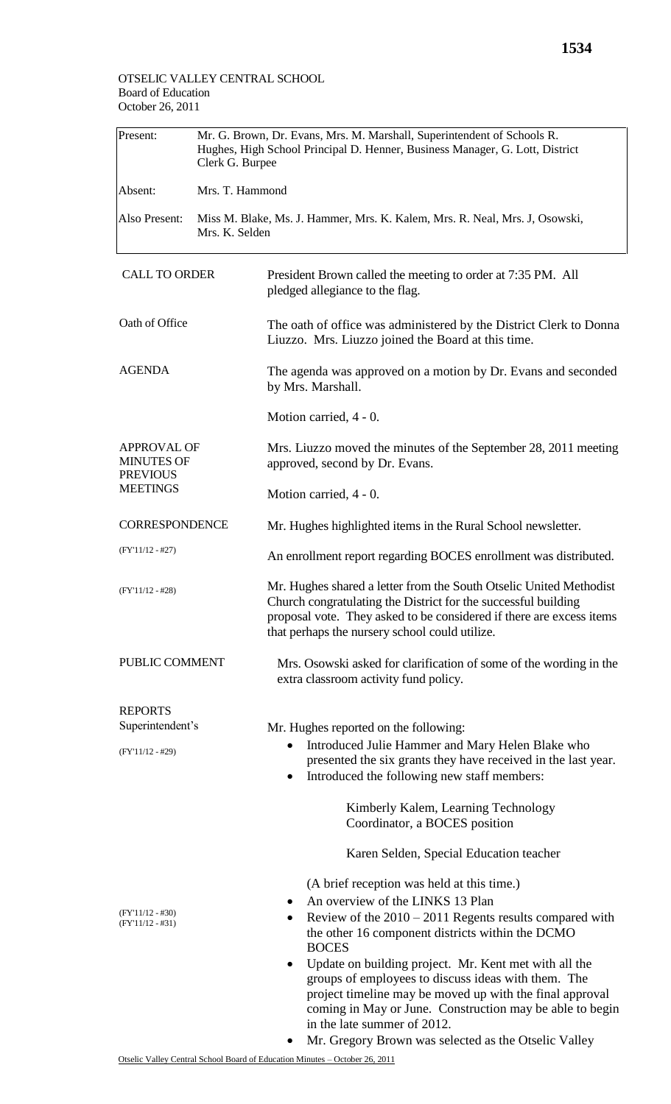| Present:                                                                      | Mr. G. Brown, Dr. Evans, Mrs. M. Marshall, Superintendent of Schools R.<br>Hughes, High School Principal D. Henner, Business Manager, G. Lott, District<br>Clerk G. Burpee |                                                                                                                                                                                                                                                                                                                                                                                                                                                                                                                       |  |  |  |
|-------------------------------------------------------------------------------|----------------------------------------------------------------------------------------------------------------------------------------------------------------------------|-----------------------------------------------------------------------------------------------------------------------------------------------------------------------------------------------------------------------------------------------------------------------------------------------------------------------------------------------------------------------------------------------------------------------------------------------------------------------------------------------------------------------|--|--|--|
| Absent:                                                                       | Mrs. T. Hammond                                                                                                                                                            |                                                                                                                                                                                                                                                                                                                                                                                                                                                                                                                       |  |  |  |
| Also Present:                                                                 | Miss M. Blake, Ms. J. Hammer, Mrs. K. Kalem, Mrs. R. Neal, Mrs. J, Osowski,<br>Mrs. K. Selden                                                                              |                                                                                                                                                                                                                                                                                                                                                                                                                                                                                                                       |  |  |  |
| <b>CALL TO ORDER</b>                                                          |                                                                                                                                                                            | President Brown called the meeting to order at 7:35 PM. All<br>pledged allegiance to the flag.                                                                                                                                                                                                                                                                                                                                                                                                                        |  |  |  |
| Oath of Office                                                                |                                                                                                                                                                            | The oath of office was administered by the District Clerk to Donna<br>Liuzzo. Mrs. Liuzzo joined the Board at this time.                                                                                                                                                                                                                                                                                                                                                                                              |  |  |  |
| <b>AGENDA</b>                                                                 |                                                                                                                                                                            | The agenda was approved on a motion by Dr. Evans and seconded<br>by Mrs. Marshall.                                                                                                                                                                                                                                                                                                                                                                                                                                    |  |  |  |
|                                                                               |                                                                                                                                                                            | Motion carried, 4 - 0.                                                                                                                                                                                                                                                                                                                                                                                                                                                                                                |  |  |  |
| <b>APPROVAL OF</b><br><b>MINUTES OF</b><br><b>PREVIOUS</b><br><b>MEETINGS</b> |                                                                                                                                                                            | Mrs. Liuzzo moved the minutes of the September 28, 2011 meeting<br>approved, second by Dr. Evans.                                                                                                                                                                                                                                                                                                                                                                                                                     |  |  |  |
|                                                                               |                                                                                                                                                                            | Motion carried, 4 - 0.                                                                                                                                                                                                                                                                                                                                                                                                                                                                                                |  |  |  |
| <b>CORRESPONDENCE</b>                                                         |                                                                                                                                                                            | Mr. Hughes highlighted items in the Rural School newsletter.                                                                                                                                                                                                                                                                                                                                                                                                                                                          |  |  |  |
| $(FY'11/12 - #27)$                                                            |                                                                                                                                                                            | An enrollment report regarding BOCES enrollment was distributed.                                                                                                                                                                                                                                                                                                                                                                                                                                                      |  |  |  |
| $(FY'11/12 - #28)$                                                            |                                                                                                                                                                            | Mr. Hughes shared a letter from the South Otselic United Methodist<br>Church congratulating the District for the successful building<br>proposal vote. They asked to be considered if there are excess items<br>that perhaps the nursery school could utilize.                                                                                                                                                                                                                                                        |  |  |  |
| PUBLIC COMMENT                                                                |                                                                                                                                                                            | Mrs. Osowski asked for clarification of some of the wording in the<br>extra classroom activity fund policy.                                                                                                                                                                                                                                                                                                                                                                                                           |  |  |  |
| <b>REPORTS</b><br>Superintendent's<br>$(FY'11/12 - #29)$                      |                                                                                                                                                                            | Mr. Hughes reported on the following:<br>Introduced Julie Hammer and Mary Helen Blake who<br>$\bullet$<br>presented the six grants they have received in the last year.<br>Introduced the following new staff members:<br>$\bullet$                                                                                                                                                                                                                                                                                   |  |  |  |
|                                                                               |                                                                                                                                                                            | Kimberly Kalem, Learning Technology<br>Coordinator, a BOCES position                                                                                                                                                                                                                                                                                                                                                                                                                                                  |  |  |  |
|                                                                               |                                                                                                                                                                            | Karen Selden, Special Education teacher                                                                                                                                                                                                                                                                                                                                                                                                                                                                               |  |  |  |
| (FY'11/12 - #30)<br>(FY'11/12 - #31)                                          |                                                                                                                                                                            | (A brief reception was held at this time.)<br>An overview of the LINKS 13 Plan<br>$\bullet$<br>Review of the $2010 - 2011$ Regents results compared with<br>$\bullet$<br>the other 16 component districts within the DCMO<br><b>BOCES</b><br>Update on building project. Mr. Kent met with all the<br>٠<br>groups of employees to discuss ideas with them. The<br>project timeline may be moved up with the final approval<br>coming in May or June. Construction may be able to begin<br>in the late summer of 2012. |  |  |  |
|                                                                               |                                                                                                                                                                            | Mr. Gregory Brown was selected as the Otselic Valley<br>٠                                                                                                                                                                                                                                                                                                                                                                                                                                                             |  |  |  |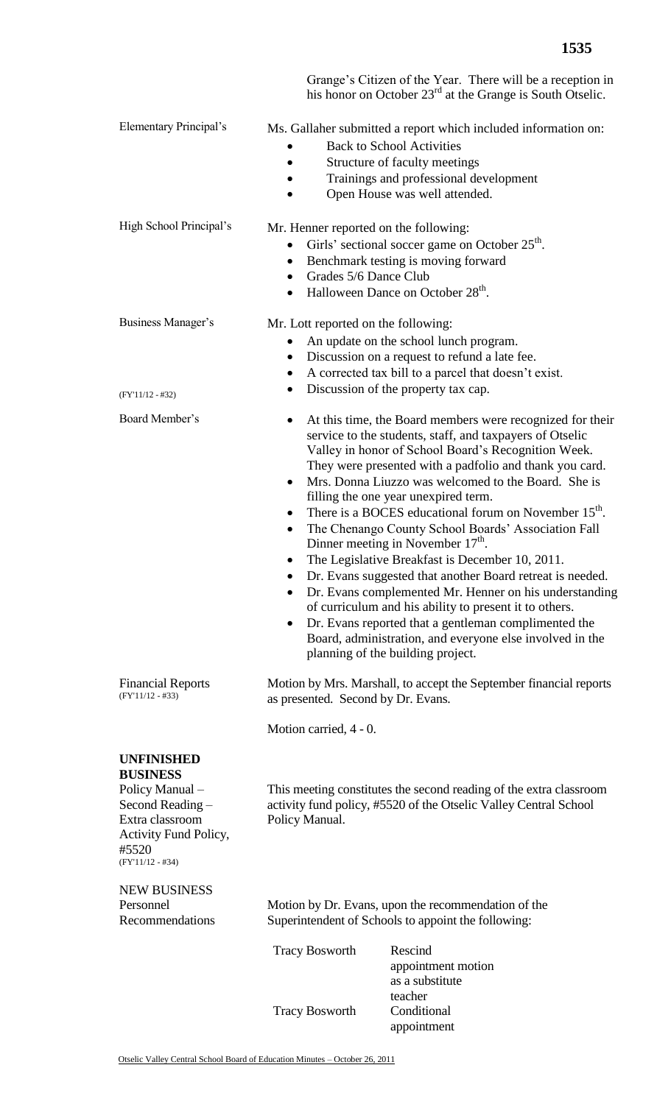|                                                                                                                                                        |                                                                                                                                                                                                                                                                                                                                                                                                                                                                                                                                                                                                                                                                                                                                                                                                                                                                                                                                                                                                                          | Grange's Citizen of the Year. There will be a reception in<br>his honor on October $23rd$ at the Grange is South Otselic.                                                                                      |  |
|--------------------------------------------------------------------------------------------------------------------------------------------------------|--------------------------------------------------------------------------------------------------------------------------------------------------------------------------------------------------------------------------------------------------------------------------------------------------------------------------------------------------------------------------------------------------------------------------------------------------------------------------------------------------------------------------------------------------------------------------------------------------------------------------------------------------------------------------------------------------------------------------------------------------------------------------------------------------------------------------------------------------------------------------------------------------------------------------------------------------------------------------------------------------------------------------|----------------------------------------------------------------------------------------------------------------------------------------------------------------------------------------------------------------|--|
| <b>Elementary Principal's</b>                                                                                                                          |                                                                                                                                                                                                                                                                                                                                                                                                                                                                                                                                                                                                                                                                                                                                                                                                                                                                                                                                                                                                                          | Ms. Gallaher submitted a report which included information on:<br><b>Back to School Activities</b><br>Structure of faculty meetings<br>Trainings and professional development<br>Open House was well attended. |  |
| High School Principal's                                                                                                                                | Mr. Henner reported on the following:<br>٠<br>٠<br>Grades 5/6 Dance Club<br>$\bullet$<br>$\bullet$                                                                                                                                                                                                                                                                                                                                                                                                                                                                                                                                                                                                                                                                                                                                                                                                                                                                                                                       | Girls' sectional soccer game on October 25 <sup>th</sup> .<br>Benchmark testing is moving forward<br>Halloween Dance on October 28 <sup>th</sup> .                                                             |  |
| Business Manager's                                                                                                                                     | Mr. Lott reported on the following:<br>$\bullet$                                                                                                                                                                                                                                                                                                                                                                                                                                                                                                                                                                                                                                                                                                                                                                                                                                                                                                                                                                         | An update on the school lunch program.<br>Discussion on a request to refund a late fee.<br>A corrected tax bill to a parcel that doesn't exist.                                                                |  |
| $(FY'11/12 - #32)$<br>Board Member's                                                                                                                   | Discussion of the property tax cap.<br>$\bullet$<br>At this time, the Board members were recognized for their<br>٠<br>service to the students, staff, and taxpayers of Otselic<br>Valley in honor of School Board's Recognition Week.<br>They were presented with a padfolio and thank you card.<br>Mrs. Donna Liuzzo was welcomed to the Board. She is<br>$\bullet$<br>filling the one year unexpired term.<br>There is a BOCES educational forum on November 15 <sup>th</sup> .<br>The Chenango County School Boards' Association Fall<br>$\bullet$<br>Dinner meeting in November $17th$ .<br>The Legislative Breakfast is December 10, 2011.<br>Dr. Evans suggested that another Board retreat is needed.<br>٠<br>Dr. Evans complemented Mr. Henner on his understanding<br>$\bullet$<br>of curriculum and his ability to present it to others.<br>Dr. Evans reported that a gentleman complimented the<br>$\bullet$<br>Board, administration, and everyone else involved in the<br>planning of the building project. |                                                                                                                                                                                                                |  |
| <b>Financial Reports</b><br>$(FY'11/12 - #33)$                                                                                                         | Motion by Mrs. Marshall, to accept the September financial reports<br>as presented. Second by Dr. Evans.                                                                                                                                                                                                                                                                                                                                                                                                                                                                                                                                                                                                                                                                                                                                                                                                                                                                                                                 |                                                                                                                                                                                                                |  |
|                                                                                                                                                        | Motion carried, 4 - 0.                                                                                                                                                                                                                                                                                                                                                                                                                                                                                                                                                                                                                                                                                                                                                                                                                                                                                                                                                                                                   |                                                                                                                                                                                                                |  |
| <b>UNFINISHED</b><br><b>BUSINESS</b><br>Policy Manual -<br>Second Reading -<br>Extra classroom<br>Activity Fund Policy,<br>#5520<br>$(FY'11/12 - #34)$ | This meeting constitutes the second reading of the extra classroom<br>activity fund policy, #5520 of the Otselic Valley Central School<br>Policy Manual.                                                                                                                                                                                                                                                                                                                                                                                                                                                                                                                                                                                                                                                                                                                                                                                                                                                                 |                                                                                                                                                                                                                |  |
| <b>NEW BUSINESS</b><br>Personnel<br>Recommendations                                                                                                    | Motion by Dr. Evans, upon the recommendation of the<br>Superintendent of Schools to appoint the following:                                                                                                                                                                                                                                                                                                                                                                                                                                                                                                                                                                                                                                                                                                                                                                                                                                                                                                               |                                                                                                                                                                                                                |  |
|                                                                                                                                                        | <b>Tracy Bosworth</b>                                                                                                                                                                                                                                                                                                                                                                                                                                                                                                                                                                                                                                                                                                                                                                                                                                                                                                                                                                                                    | Rescind<br>appointment motion<br>as a substitute                                                                                                                                                               |  |
|                                                                                                                                                        | <b>Tracy Bosworth</b>                                                                                                                                                                                                                                                                                                                                                                                                                                                                                                                                                                                                                                                                                                                                                                                                                                                                                                                                                                                                    | teacher<br>Conditional<br>appointment                                                                                                                                                                          |  |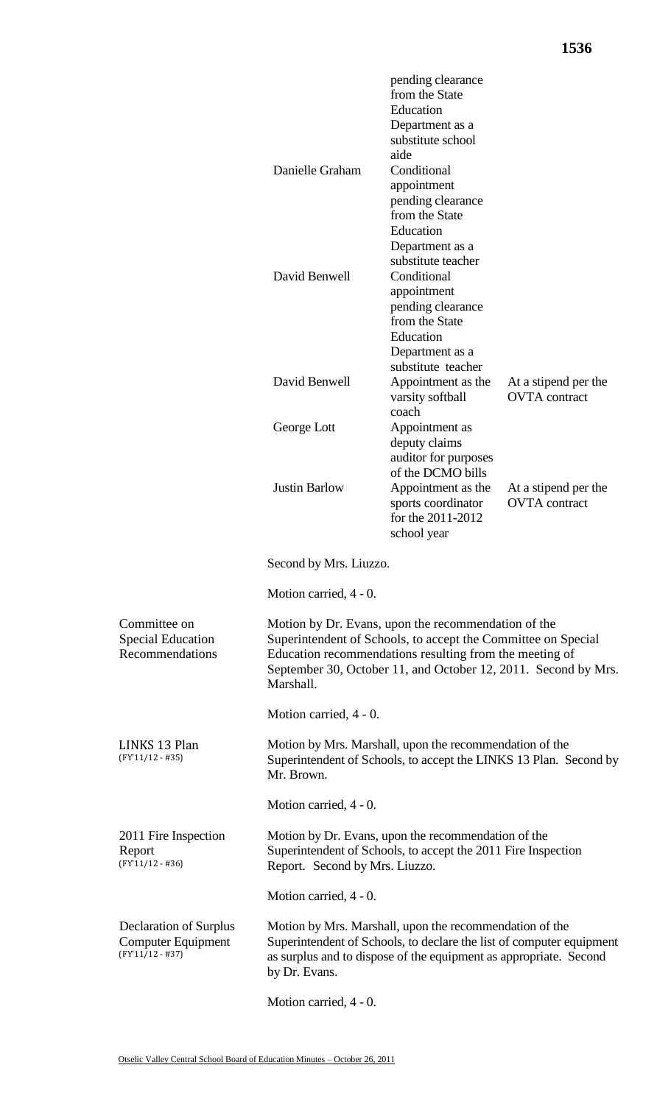|                                                                                  | Danielle Graham                                                                                                                                                                                                                                                | pending clearance<br>from the State<br>Education<br>Department as a<br>substitute school<br>aide<br>Conditional<br>appointment<br>pending clearance<br>from the State<br>Education<br>Department as a |                                              |  |  |
|----------------------------------------------------------------------------------|----------------------------------------------------------------------------------------------------------------------------------------------------------------------------------------------------------------------------------------------------------------|-------------------------------------------------------------------------------------------------------------------------------------------------------------------------------------------------------|----------------------------------------------|--|--|
|                                                                                  | David Benwell                                                                                                                                                                                                                                                  | substitute teacher<br>Conditional<br>appointment<br>pending clearance<br>from the State<br>Education<br>Department as a                                                                               |                                              |  |  |
|                                                                                  | David Benwell                                                                                                                                                                                                                                                  | substitute teacher<br>Appointment as the<br>varsity softball                                                                                                                                          | At a stipend per the<br><b>OVTA</b> contract |  |  |
|                                                                                  | George Lott                                                                                                                                                                                                                                                    | coach<br>Appointment as<br>deputy claims<br>auditor for purposes                                                                                                                                      |                                              |  |  |
|                                                                                  | <b>Justin Barlow</b>                                                                                                                                                                                                                                           | of the DCMO bills<br>Appointment as the<br>sports coordinator<br>for the 2011-2012<br>school year                                                                                                     | At a stipend per the<br><b>OVTA</b> contract |  |  |
|                                                                                  | Second by Mrs. Liuzzo.                                                                                                                                                                                                                                         |                                                                                                                                                                                                       |                                              |  |  |
|                                                                                  | Motion carried, 4 - 0.                                                                                                                                                                                                                                         |                                                                                                                                                                                                       |                                              |  |  |
| Committee on<br><b>Special Education</b><br>Recommendations                      | Motion by Dr. Evans, upon the recommendation of the<br>Superintendent of Schools, to accept the Committee on Special<br>Education recommendations resulting from the meeting of<br>September 30, October 11, and October 12, 2011. Second by Mrs.<br>Marshall. |                                                                                                                                                                                                       |                                              |  |  |
|                                                                                  | Motion carried, 4 - 0.                                                                                                                                                                                                                                         |                                                                                                                                                                                                       |                                              |  |  |
| LINKS 13 Plan<br>$(FY'11/12 - #35)$                                              | Motion by Mrs. Marshall, upon the recommendation of the<br>Superintendent of Schools, to accept the LINKS 13 Plan. Second by<br>Mr. Brown.                                                                                                                     |                                                                                                                                                                                                       |                                              |  |  |
|                                                                                  | Motion carried, 4 - 0.                                                                                                                                                                                                                                         |                                                                                                                                                                                                       |                                              |  |  |
| 2011 Fire Inspection<br>Report<br>$(FY'11/12 - #36)$                             | Motion by Dr. Evans, upon the recommendation of the<br>Superintendent of Schools, to accept the 2011 Fire Inspection<br>Report. Second by Mrs. Liuzzo.                                                                                                         |                                                                                                                                                                                                       |                                              |  |  |
|                                                                                  | Motion carried, 4 - 0.                                                                                                                                                                                                                                         |                                                                                                                                                                                                       |                                              |  |  |
| <b>Declaration of Surplus</b><br><b>Computer Equipment</b><br>$(FY'11/12 - #37)$ | Motion by Mrs. Marshall, upon the recommendation of the<br>Superintendent of Schools, to declare the list of computer equipment<br>as surplus and to dispose of the equipment as appropriate. Second<br>by Dr. Evans.                                          |                                                                                                                                                                                                       |                                              |  |  |

Motion carried, 4 - 0.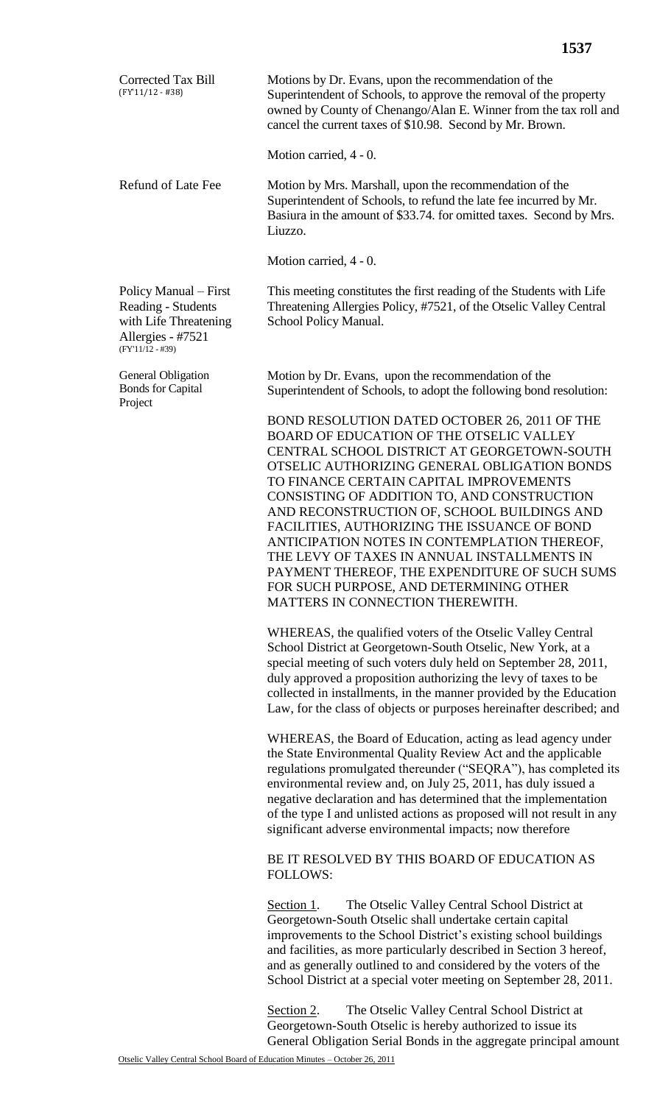| <b>Corrected Tax Bill</b><br>$(FY'11/12 - #38)$                                                                 | Motions by Dr. Evans, upon the recommendation of the<br>Superintendent of Schools, to approve the removal of the property<br>owned by County of Chenango/Alan E. Winner from the tax roll and<br>cancel the current taxes of \$10.98. Second by Mr. Brown.                                                                                                                                                                                                                                                                                                                                                                                                                                                                                     |
|-----------------------------------------------------------------------------------------------------------------|------------------------------------------------------------------------------------------------------------------------------------------------------------------------------------------------------------------------------------------------------------------------------------------------------------------------------------------------------------------------------------------------------------------------------------------------------------------------------------------------------------------------------------------------------------------------------------------------------------------------------------------------------------------------------------------------------------------------------------------------|
|                                                                                                                 | Motion carried, 4 - 0.                                                                                                                                                                                                                                                                                                                                                                                                                                                                                                                                                                                                                                                                                                                         |
| <b>Refund of Late Fee</b>                                                                                       | Motion by Mrs. Marshall, upon the recommendation of the<br>Superintendent of Schools, to refund the late fee incurred by Mr.<br>Basiura in the amount of \$33.74. for omitted taxes. Second by Mrs.<br>Liuzzo.                                                                                                                                                                                                                                                                                                                                                                                                                                                                                                                                 |
|                                                                                                                 | Motion carried, 4 - 0.                                                                                                                                                                                                                                                                                                                                                                                                                                                                                                                                                                                                                                                                                                                         |
| Policy Manual – First<br>Reading - Students<br>with Life Threatening<br>Allergies - #7521<br>$(FY'11/12 - #39)$ | This meeting constitutes the first reading of the Students with Life<br>Threatening Allergies Policy, #7521, of the Otselic Valley Central<br>School Policy Manual.                                                                                                                                                                                                                                                                                                                                                                                                                                                                                                                                                                            |
| General Obligation<br><b>Bonds for Capital</b><br>Project                                                       | Motion by Dr. Evans, upon the recommendation of the<br>Superintendent of Schools, to adopt the following bond resolution:                                                                                                                                                                                                                                                                                                                                                                                                                                                                                                                                                                                                                      |
|                                                                                                                 | BOND RESOLUTION DATED OCTOBER 26, 2011 OF THE<br>BOARD OF EDUCATION OF THE OTSELIC VALLEY<br>CENTRAL SCHOOL DISTRICT AT GEORGETOWN-SOUTH<br>OTSELIC AUTHORIZING GENERAL OBLIGATION BONDS<br>TO FINANCE CERTAIN CAPITAL IMPROVEMENTS<br>CONSISTING OF ADDITION TO, AND CONSTRUCTION<br>AND RECONSTRUCTION OF, SCHOOL BUILDINGS AND<br>FACILITIES, AUTHORIZING THE ISSUANCE OF BOND<br>ANTICIPATION NOTES IN CONTEMPLATION THEREOF,<br>THE LEVY OF TAXES IN ANNUAL INSTALLMENTS IN<br>PAYMENT THEREOF, THE EXPENDITURE OF SUCH SUMS<br>FOR SUCH PURPOSE, AND DETERMINING OTHER<br>MATTERS IN CONNECTION THEREWITH.<br>WHEREAS, the qualified voters of the Otselic Valley Central<br>School District at Georgetown-South Otselic, New York, at a |
|                                                                                                                 | special meeting of such voters duly held on September 28, 2011,<br>duly approved a proposition authorizing the levy of taxes to be<br>collected in installments, in the manner provided by the Education<br>Law, for the class of objects or purposes hereinafter described; and                                                                                                                                                                                                                                                                                                                                                                                                                                                               |
|                                                                                                                 | WHEREAS, the Board of Education, acting as lead agency under<br>the State Environmental Quality Review Act and the applicable<br>regulations promulgated thereunder ("SEQRA"), has completed its<br>environmental review and, on July 25, 2011, has duly issued a<br>negative declaration and has determined that the implementation<br>of the type I and unlisted actions as proposed will not result in any<br>significant adverse environmental impacts; now therefore                                                                                                                                                                                                                                                                      |
|                                                                                                                 | BE IT RESOLVED BY THIS BOARD OF EDUCATION AS<br><b>FOLLOWS:</b>                                                                                                                                                                                                                                                                                                                                                                                                                                                                                                                                                                                                                                                                                |
|                                                                                                                 | The Otselic Valley Central School District at<br>Section 1.<br>Georgetown-South Otselic shall undertake certain capital<br>improvements to the School District's existing school buildings<br>and facilities, as more particularly described in Section 3 hereof,<br>and as generally outlined to and considered by the voters of the<br>School District at a special voter meeting on September 28, 2011.                                                                                                                                                                                                                                                                                                                                     |

Section 2. The Otselic Valley Central School District at Georgetown-South Otselic is hereby authorized to issue its General Obligation Serial Bonds in the aggregate principal amount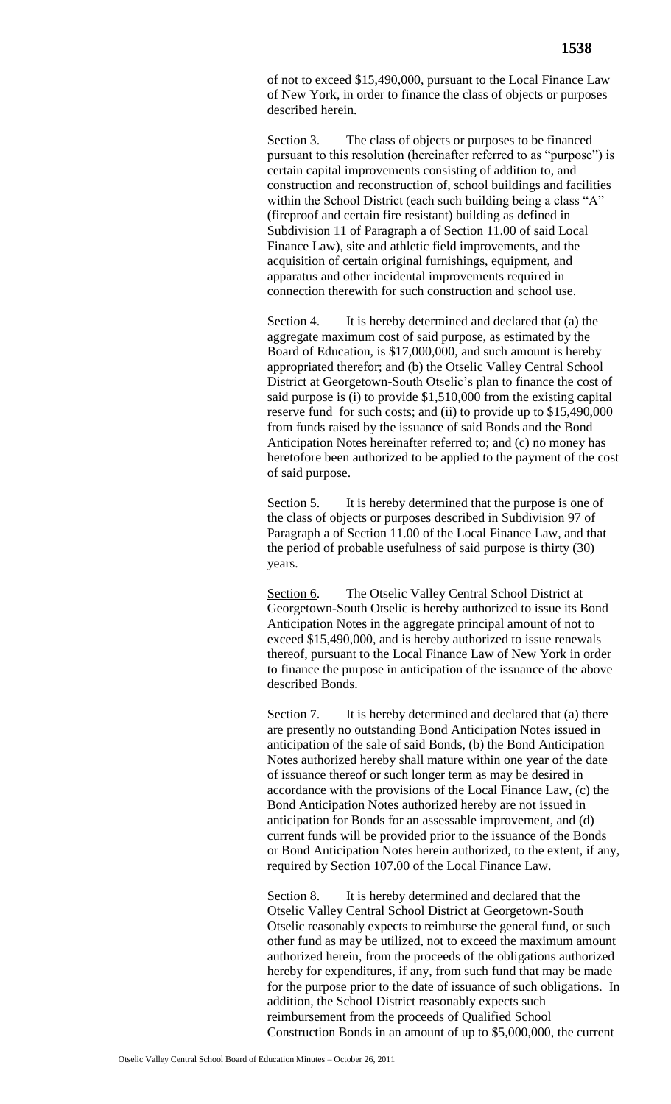of not to exceed \$15,490,000, pursuant to the Local Finance Law of New York, in order to finance the class of objects or purposes described herein.

Section 3. The class of objects or purposes to be financed pursuant to this resolution (hereinafter referred to as "purpose") is certain capital improvements consisting of addition to, and construction and reconstruction of, school buildings and facilities within the School District (each such building being a class "A" (fireproof and certain fire resistant) building as defined in Subdivision 11 of Paragraph a of Section 11.00 of said Local Finance Law), site and athletic field improvements, and the acquisition of certain original furnishings, equipment, and apparatus and other incidental improvements required in connection therewith for such construction and school use.

Section 4. It is hereby determined and declared that (a) the aggregate maximum cost of said purpose, as estimated by the Board of Education, is \$17,000,000, and such amount is hereby appropriated therefor; and (b) the Otselic Valley Central School District at Georgetown-South Otselic's plan to finance the cost of said purpose is (i) to provide \$1,510,000 from the existing capital reserve fund for such costs; and (ii) to provide up to \$15,490,000 from funds raised by the issuance of said Bonds and the Bond Anticipation Notes hereinafter referred to; and (c) no money has heretofore been authorized to be applied to the payment of the cost of said purpose.

Section 5. It is hereby determined that the purpose is one of the class of objects or purposes described in Subdivision 97 of Paragraph a of Section 11.00 of the Local Finance Law, and that the period of probable usefulness of said purpose is thirty (30) years.

Section 6. The Otselic Valley Central School District at Georgetown-South Otselic is hereby authorized to issue its Bond Anticipation Notes in the aggregate principal amount of not to exceed \$15,490,000, and is hereby authorized to issue renewals thereof, pursuant to the Local Finance Law of New York in order to finance the purpose in anticipation of the issuance of the above described Bonds.

Section 7. It is hereby determined and declared that (a) there are presently no outstanding Bond Anticipation Notes issued in anticipation of the sale of said Bonds, (b) the Bond Anticipation Notes authorized hereby shall mature within one year of the date of issuance thereof or such longer term as may be desired in accordance with the provisions of the Local Finance Law, (c) the Bond Anticipation Notes authorized hereby are not issued in anticipation for Bonds for an assessable improvement, and (d) current funds will be provided prior to the issuance of the Bonds or Bond Anticipation Notes herein authorized, to the extent, if any, required by Section 107.00 of the Local Finance Law.

Section 8. It is hereby determined and declared that the Otselic Valley Central School District at Georgetown-South Otselic reasonably expects to reimburse the general fund, or such other fund as may be utilized, not to exceed the maximum amount authorized herein, from the proceeds of the obligations authorized hereby for expenditures, if any, from such fund that may be made for the purpose prior to the date of issuance of such obligations. In addition, the School District reasonably expects such reimbursement from the proceeds of Qualified School Construction Bonds in an amount of up to \$5,000,000, the current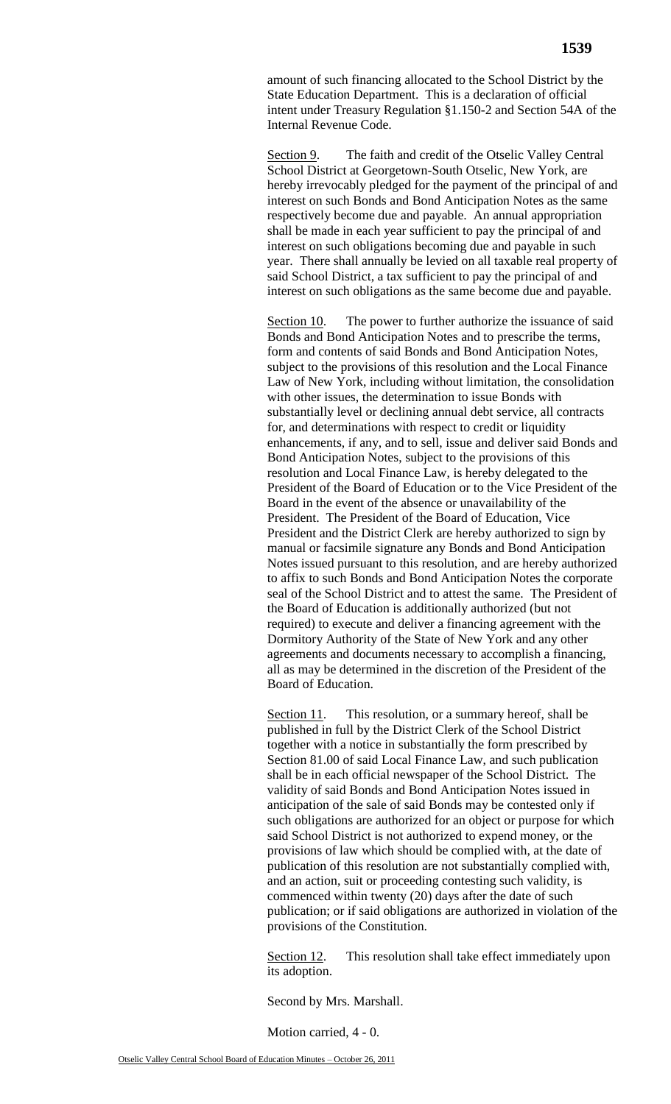amount of such financing allocated to the School District by the State Education Department. This is a declaration of official intent under Treasury Regulation §1.150-2 and Section 54A of the Internal Revenue Code.

Section 9. The faith and credit of the Otselic Valley Central School District at Georgetown-South Otselic, New York, are hereby irrevocably pledged for the payment of the principal of and interest on such Bonds and Bond Anticipation Notes as the same respectively become due and payable. An annual appropriation shall be made in each year sufficient to pay the principal of and interest on such obligations becoming due and payable in such year. There shall annually be levied on all taxable real property of said School District, a tax sufficient to pay the principal of and interest on such obligations as the same become due and payable.

Section 10. The power to further authorize the issuance of said Bonds and Bond Anticipation Notes and to prescribe the terms, form and contents of said Bonds and Bond Anticipation Notes, subject to the provisions of this resolution and the Local Finance Law of New York, including without limitation, the consolidation with other issues, the determination to issue Bonds with substantially level or declining annual debt service, all contracts for, and determinations with respect to credit or liquidity enhancements, if any, and to sell, issue and deliver said Bonds and Bond Anticipation Notes, subject to the provisions of this resolution and Local Finance Law, is hereby delegated to the President of the Board of Education or to the Vice President of the Board in the event of the absence or unavailability of the President. The President of the Board of Education, Vice President and the District Clerk are hereby authorized to sign by manual or facsimile signature any Bonds and Bond Anticipation Notes issued pursuant to this resolution, and are hereby authorized to affix to such Bonds and Bond Anticipation Notes the corporate seal of the School District and to attest the same. The President of the Board of Education is additionally authorized (but not required) to execute and deliver a financing agreement with the Dormitory Authority of the State of New York and any other agreements and documents necessary to accomplish a financing, all as may be determined in the discretion of the President of the Board of Education.

Section 11. This resolution, or a summary hereof, shall be published in full by the District Clerk of the School District together with a notice in substantially the form prescribed by Section 81.00 of said Local Finance Law, and such publication shall be in each official newspaper of the School District. The validity of said Bonds and Bond Anticipation Notes issued in anticipation of the sale of said Bonds may be contested only if such obligations are authorized for an object or purpose for which said School District is not authorized to expend money, or the provisions of law which should be complied with, at the date of publication of this resolution are not substantially complied with, and an action, suit or proceeding contesting such validity, is commenced within twenty (20) days after the date of such publication; or if said obligations are authorized in violation of the provisions of the Constitution.

Section 12. This resolution shall take effect immediately upon its adoption.

Second by Mrs. Marshall.

Motion carried, 4 - 0.